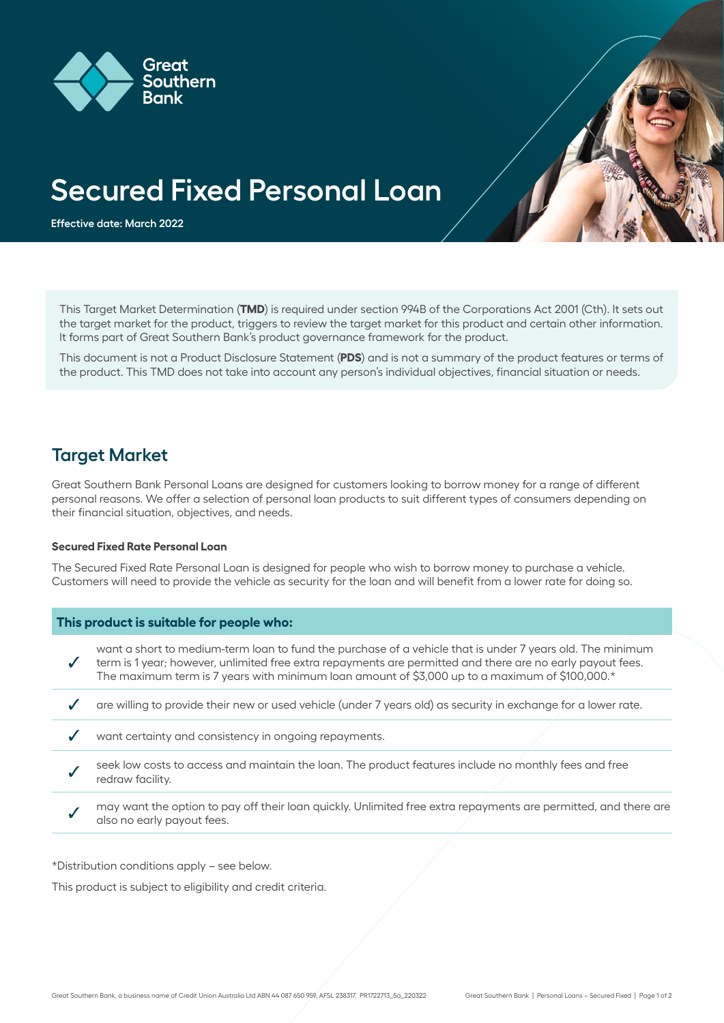



**Effective date: March 2022**

This Target Market Determination (**TMD**) is required under section 994B of the Corporations Act 2001 (Cth). It sets out the target market for the product, triggers to review the target market for this product and certain other information. It forms part of Great Southern Bank's product governance framework for the product.

This document is not a Product Disclosure Statement (**PDS**) and is not a summary of the product features or terms of the product. This TMD does not take into account any person's individual objectives, financial situation or needs.

### **Target Market**

Great Southern Bank Personal Loans are designed for customers looking to borrow money for a range of different personal reasons. We offer a selection of personal loan products to suit different types of consumers depending on their financial situation, objectives, and needs.

#### **Secured Fixed Rate Personal Loan**

The Secured Fixed Rate Personal Loan is designed for people who wish to borrow money to purchase a vehicle. Customers will need to provide the vehicle as security for the loan and will benefit from a lower rate for doing so.

### **This product is suitable for people who:**

want a short to medium-term loan to fund the purchase of a vehicle that is under 7 years old. The minimum  $\boldsymbol{J}$ term is 1 year; however, unlimited free extra repayments are permitted and there are no early payout fees. The maximum term is 7 years with minimum loan amount of \$3,000 up to a maximum of \$100,000.\*

- $\overline{\mathscr{S}}$ are willing to provide their new or used vehicle (under 7 years old) as security in exchange for a lower rate.
- $\checkmark$ want certainty and consistency in ongoing repayments.
- seek low costs to access and maintain the loan. The product features include no monthly fees and free redraw facility.
- may want the option to pay off their loan quickly. Unlimited free extra repayments are permitted, and there are also no early payout fees.

\*Distribution conditions apply – see below.

This product is subject to eligibility and credit criteria.